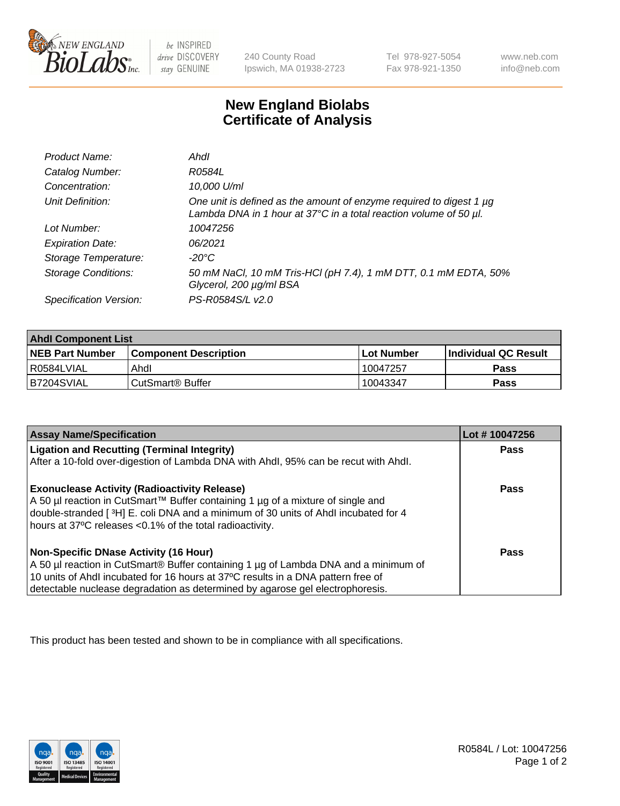

be INSPIRED drive DISCOVERY stay GENUINE

240 County Road Ipswich, MA 01938-2723 Tel 978-927-5054 Fax 978-921-1350

www.neb.com info@neb.com

## **New England Biolabs Certificate of Analysis**

| Product Name:              | Ahdl                                                                                                                                                    |
|----------------------------|---------------------------------------------------------------------------------------------------------------------------------------------------------|
| Catalog Number:            | R0584L                                                                                                                                                  |
| Concentration:             | 10,000 U/ml                                                                                                                                             |
| Unit Definition:           | One unit is defined as the amount of enzyme required to digest 1 µg<br>Lambda DNA in 1 hour at $37^{\circ}$ C in a total reaction volume of 50 $\mu$ l. |
| Lot Number:                | 10047256                                                                                                                                                |
| <b>Expiration Date:</b>    | 06/2021                                                                                                                                                 |
| Storage Temperature:       | -20°C                                                                                                                                                   |
| <b>Storage Conditions:</b> | 50 mM NaCl, 10 mM Tris-HCl (pH 7.4), 1 mM DTT, 0.1 mM EDTA, 50%<br>Glycerol, 200 µg/ml BSA                                                              |
| Specification Version:     | PS-R0584S/L v2.0                                                                                                                                        |

| <b>Ahdl Component List</b> |                              |              |                             |  |
|----------------------------|------------------------------|--------------|-----------------------------|--|
| <b>NEB Part Number</b>     | <b>Component Description</b> | l Lot Number | <b>Individual QC Result</b> |  |
| I R0584LVIAL               | Ahdl                         | 10047257     | Pass                        |  |
| B7204SVIAL                 | CutSmart <sup>®</sup> Buffer | 10043347     | Pass                        |  |

| <b>Assay Name/Specification</b>                                                                                                                | Lot #10047256 |
|------------------------------------------------------------------------------------------------------------------------------------------------|---------------|
| <b>Ligation and Recutting (Terminal Integrity)</b>                                                                                             | Pass          |
| After a 10-fold over-digestion of Lambda DNA with Ahdl, 95% can be recut with Ahdl.                                                            |               |
| <b>Exonuclease Activity (Radioactivity Release)</b>                                                                                            | Pass          |
| A 50 µl reaction in CutSmart™ Buffer containing 1 µg of a mixture of single and                                                                |               |
| double-stranded [3H] E. coli DNA and a minimum of 30 units of Ahdl incubated for 4<br>hours at 37°C releases <0.1% of the total radioactivity. |               |
|                                                                                                                                                |               |
| <b>Non-Specific DNase Activity (16 Hour)</b>                                                                                                   | Pass          |
| A 50 µl reaction in CutSmart® Buffer containing 1 µg of Lambda DNA and a minimum of                                                            |               |
| 10 units of Ahdl incubated for 16 hours at 37°C results in a DNA pattern free of                                                               |               |
| detectable nuclease degradation as determined by agarose gel electrophoresis.                                                                  |               |

This product has been tested and shown to be in compliance with all specifications.